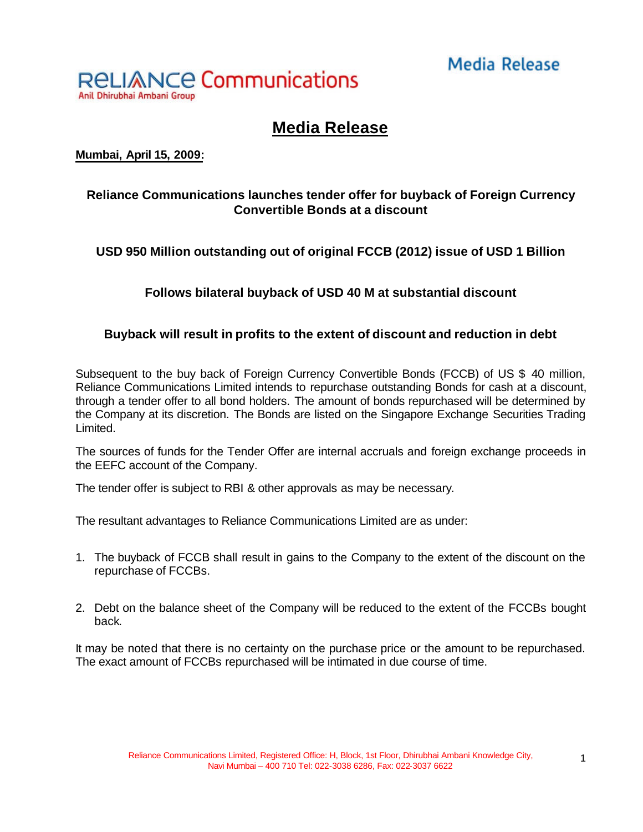# **Media Release**



## **Media Release**

**Mumbai, April 15, 2009:**

### **Reliance Communications launches tender offer for buyback of Foreign Currency Convertible Bonds at a discount**

**USD 950 Million outstanding out of original FCCB (2012) issue of USD 1 Billion**

**Follows bilateral buyback of USD 40 M at substantial discount**

#### **Buyback will result in profits to the extent of discount and reduction in debt**

Subsequent to the buy back of Foreign Currency Convertible Bonds (FCCB) of US \$ 40 million, Reliance Communications Limited intends to repurchase outstanding Bonds for cash at a discount, through a tender offer to all bond holders. The amount of bonds repurchased will be determined by the Company at its discretion. The Bonds are listed on the Singapore Exchange Securities Trading Limited.

The sources of funds for the Tender Offer are internal accruals and foreign exchange proceeds in the EEFC account of the Company.

The tender offer is subject to RBI & other approvals as may be necessary.

The resultant advantages to Reliance Communications Limited are as under:

- 1. The buyback of FCCB shall result in gains to the Company to the extent of the discount on the repurchase of FCCBs.
- 2. Debt on the balance sheet of the Company will be reduced to the extent of the FCCBs bought back.

It may be noted that there is no certainty on the purchase price or the amount to be repurchased. The exact amount of FCCBs repurchased will be intimated in due course of time.